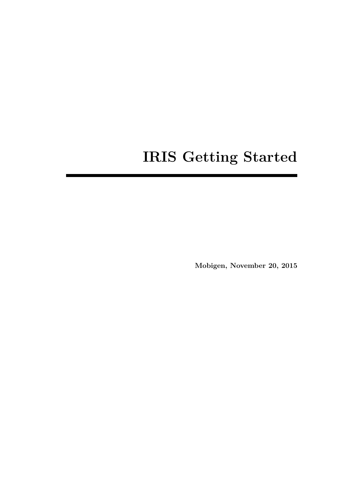# **IRIS Getting Started**

**Mobigen, November 20, 2015**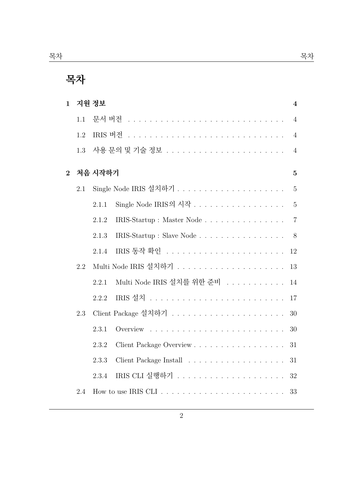| $\mathbf{1}$ |     | 지원 정보   |                            | $\overline{\mathbf{4}}$ |
|--------------|-----|---------|----------------------------|-------------------------|
|              | 1.1 |         |                            | $\overline{4}$          |
|              | 1.2 | IRIS 버전 |                            | $\overline{4}$          |
|              | 1.3 |         |                            | $\overline{4}$          |
| $\mathbf{2}$ |     | 처음 시작하기 |                            | $\overline{5}$          |
|              | 2.1 |         |                            | $\overline{5}$          |
|              |     | 2.1.1   | Single Node IRIS의 시작       | $\mathbf 5$             |
|              |     | 2.1.2   | IRIS-Startup : Master Node | $\overline{7}$          |
|              |     | 2.1.3   | IRIS-Startup : Slave Node  | $8\,$                   |
|              |     | 2.1.4   |                            | 12                      |
|              | 2.2 |         |                            | 13                      |
|              |     | 2.2.1   | Multi Node IRIS 설치를 위한 준비  | 14                      |
|              |     | 2.2.2   |                            | 17                      |
|              | 2.3 |         |                            | 30                      |
|              |     | 2.3.1   |                            | 30                      |
|              |     | 2.3.2   | Client Package Overview    | 31                      |
|              |     | 2.3.3   |                            | 31                      |
|              |     | 2.3.4   |                            | 32                      |
|              | 2.4 |         |                            | 33                      |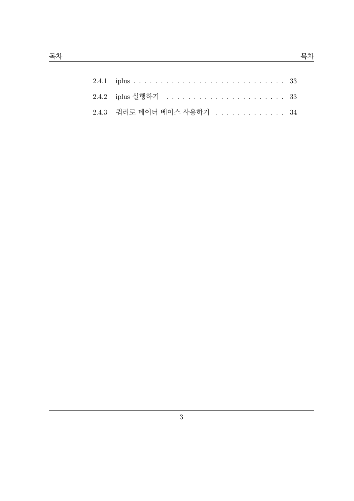| 2.4.3 쿼리로 데이터 베이스 사용하기 34 |  |
|---------------------------|--|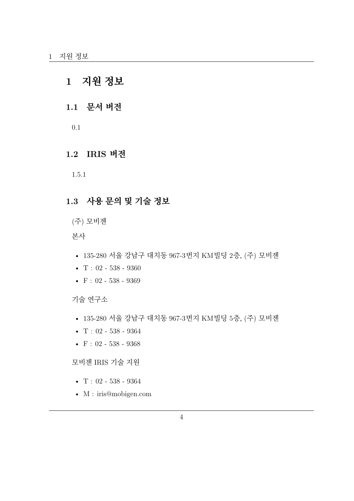## <span id="page-3-0"></span>**1 지원 정보**

### <span id="page-3-1"></span>**1.1 문서 버전**

0.1

#### **1.2 IRIS 버전**

1.5.1

### <span id="page-3-2"></span>**1.3 사용 문의 및 기술 정보**

(주) 모비젠

본사

- 135-280 서울 강남구 대치동 967-3번지 KM빌딩 2층, (주) 모비젠
- $T: 02 538 9360$
- F : 02 538 9369

기술 연구소

- 135-280 서울 강남구 대치동 967-3번지 KM빌딩 5층, (주) 모비젠
- $T: 02 538 9364$
- $F: 02 538 9368$

모비젠 IRIS 기술 지원

- $T: 02 538 9364$
- M : iris@mobigen.com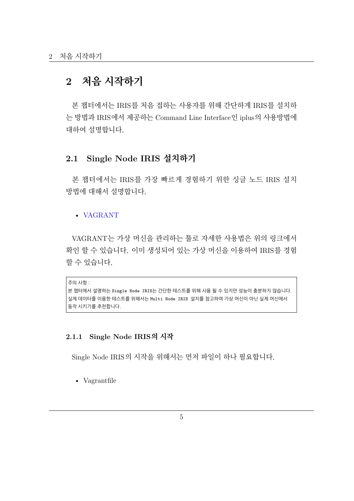## **2 처음 시작하기**

<span id="page-4-0"></span>본 챕터에서는 IRIS를 처음 접하는 사용자를 위해 간단하게 IRIS를 설치하 는 방법과 IRIS에서 제공하는 Command Line Interface인 iplus의 사용방법에 대하여 설명합니다.

#### **2.1 Single Node IRIS 설치하기**

<span id="page-4-1"></span>본 챕터에서는 IRIS를 가장 빠르게 경험하기 위한 싱글 노드 IRIS 설치 방법에 대해서 설명합니다.

#### • VAGRANT

VAGRANT는 가상 머신을 관리하는 툴로 자세한 사용법은 위의 링크에서 확인 [할 수 있습니](http://docs.vagrantup.com/v2/getting-started/index.html)다. 이미 생성되어 있는 가상 머신을 이용하여 IRIS를 경험 할 수 있습니다.

주의 사항 :

```
본 챕터에서 설명하는 Single Node IRIS는 간단한 테스트를 위해 사용 될 수 있지만 성능이 충분하지 않습니다.
실제 데이터를 이용한 테스트를 위해서는 Multi Node IRIS 설치를 참고하여 가상 머신이 아닌 실제 머신에서
동작 시키기를 추천합니다.
```
#### **2.1.1 Single Node IRIS의 시작**

<span id="page-4-2"></span>Single Node IRIS의 시작을 위해서는 먼저 파일이 하나 필요합니다.

• Vagrantfile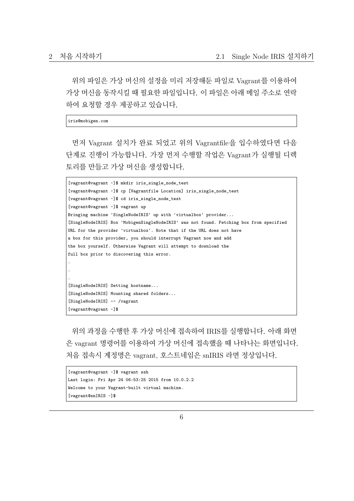위의 파일은 가상 머신의 설정을 미리 저장해둔 파일로 Vagrant를 이용하여 가상 머신을 동작시킬 때 필요한 파일입니다. 이 파일은 아래 메일 주소로 연락 하여 요청할 경우 제공하고 있습니다.

iris@mobigen.com

먼저 Vagrant 설치가 완료 되었고 위의 Vagrantfile을 입수하였다면 다음 단계로 진행이 가능합니다. 가장 먼저 수행할 작업은 Vagrant가 실행될 디렉 토리를 만들고 가상 머신을 생성합니다.

```
[vagrant@vagrant ~]$ mkdir iris_single_node_test
[vagrant@vagrant ~]$ cp [Vagrantfile Location] iris_single_node_test
[vagrant@vagrant ~]$ cd iris_single_node_test
[vagrant@vagrant ~]$ vagrant up
Bringing machine 'SingleNodeIRIS' up with 'virtualbox' provider...
[SingleNodeIRIS] Box 'MobigenSingleNodeIRIS' was not found. Fetching box from specified
URL for the provider 'virtualbox'. Note that if the URL does not have
a box for this provider, you should interrupt Vagrant now and add
the box yourself. Otherwise Vagrant will attempt to download the
full box prior to discovering this error.
.
.
.
[SingleNodeIRIS] Setting hostname...
[SingleNodeIRIS] Mounting shared folders...
[SingleNodeIRIS] -- /vagrant
[vagrant@vagrant ~]$
```
위의 과정을 수행한 후 가상 머신에 접속하여 IRIS를 실행합니다. 아래 화면 은 vagrant 명령어를 이용하여 가상 머신에 접속했을 때 나타나는 화면입니다. 처음 접속시 계정명은 vagrant, 호스트네임은 snIRIS 라면 정상입니다.

```
[vagrant@vagrant ~]$ vagrant ssh
Last login: Fri Apr 24 06:53:25 2015 from 10.0.2.2
Welcome to your Vagrant-built virtual machine.
[vagrant@snIRIS ~]$
```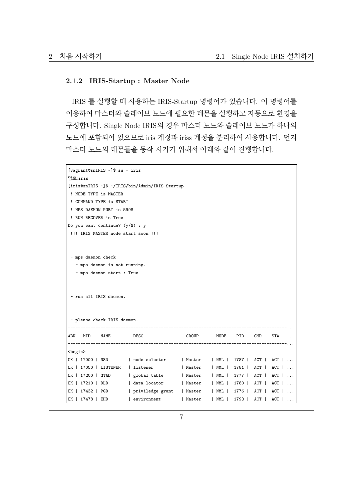#### <span id="page-6-0"></span>**2.1.2 IRIS-Startup : Master Node**

IRIS 를 실행할 때 사용하는 IRIS-Startup 명령어가 있습니다. 이 명령어를 이용하여 마스터와 슬레이브 노드에 필요한 데몬을 실행하고 자동으로 환경을 구성합니다. Single Node IRIS의 경우 마스터 노드와 슬레이브 노드가 하나의 노드에 포함되어 있으므로 iris 계정과 iriss 계정을 분리하여 사용합니다. 먼저 마스터 노드의 데몬들을 동작 시키기 위해서 아래와 같이 진행합니다.

```
[vagrant@snIRIS ~]$ su - iris
암호:iris
[iris@snIRIS ~]$ ~/IRIS/bin/Admin/IRIS-Startup
! NODE TYPE is MASTER
! COMMAND TYPE is START
! MPS DAEMON PORT is 5998
! RUN RECOVER is True
Do you want continue? (y/N) : y
!!! IRIS MASTER node start soon !!!
- mps daemon check
  - mps daemon is not running.
  - mps daemon start : True
- run all IRIS daemon.
- please check IRIS daemon.
        ---------------------------------------------------------------------------------------...
ABN MID NAME DESC GROUP MODE PID CMD STA ...
---------------------------------------------------------------------------------------...
<begin>
OK | 17000 | NSD | node selector | Master | NML | 1787 | ACT | ACT | ...
OK | 17050 | LISTENER | listener | Master | NML | 1781 | ACT | ACT | ...
OK | 17200 | GTAD | global table | Master | NML | 1777 | ACT | ACT | ...
OK | 17210 | DLD | data locator | Master | NML | 1780 | ACT | ACT | ...
OK | 17432 | PGD | priviledge grant | Master | NML | 1776 | ACT | ACT | ...
OK | 17478 | EHD | environment | Master | NML | 1793 | ACT | ACT | ...
```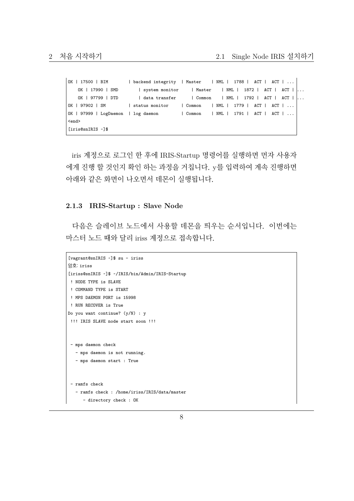```
OK | 17500 | BIM | backend integrity | Master | NML | 1788 | ACT | ACT | ...
   OK | 17990 | SMD | system monitor | Master | NML | 1872 | ACT | ACT |
   OK | 97799 | DTD | data transfer | Common | NML | 1792 | ACT | ACT | ...
OK | 97902 | SM | status monitor | Common | NML | 1779 | ACT | ACT | ...
OK | 97999 | LogDaemon | log daemon | Common | NML | 1791 | ACT | ACT | ...
<end>
[iris@snIRIS ~]$
```
iris 계정으로 로그인 한 후에 IRIS-Startup 명령어를 실행하면 먼자 사용자 에게 진행 할 것인지 확인 하는 과정을 거칩니다. y를 입력하여 계속 진행하면 아래와 같은 화면이 나오면서 데몬이 실행됩니다.

#### <span id="page-7-0"></span>**2.1.3 IRIS-Startup : Slave Node**

다음은 슬레이브 노드에서 사용할 데몬을 띄우는 순서입니다. 이번에는 마스터 노드 때와 달리 iriss 계정으로 접속합니다.

```
[vagrant@snIRIS ~]$ su - iriss
암호: iriss
[iriss@snIRIS ~]$ ~/IRIS/bin/Admin/IRIS-Startup
! NODE TYPE is SLAVE
! COMMAND TYPE is START
! MPS DAEMON PORT is 15998
! RUN RECOVER is True
Do you want continue? (y/N) : y
!!! IRIS SLAVE node start soon !!!
- mps daemon check
  - mps daemon is not running.
   - mps daemon start : True
 - ramfs check
   - ramfs check : /home/iriss/IRIS/data/master
     - directory check : OK
```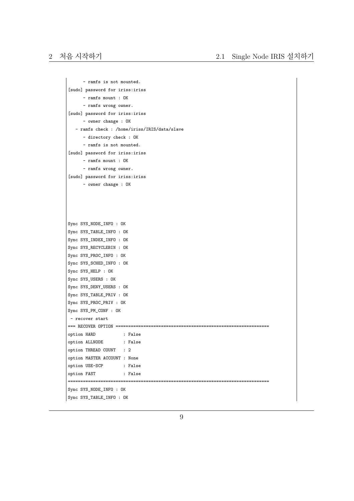```
- ramfs is not mounted.
[sudo] password for iriss:iriss
     - ramfs mount : OK
     - ramfs wrong owner.
[sudo] password for iriss:iriss
     - owner change : OK
  - ramfs check : /home/iriss/IRIS/data/slave
      - directory check : OK
     - ramfs is not mounted.
[sudo] password for iriss:iriss
      - ramfs mount : OK
     - ramfs wrong owner.
[sudo] password for iriss:iriss
     - owner change : OK
Sync SYS_NODE_INFO : OK
Sync SYS_TABLE_INFO : OK
Sync SYS_INDEX_INFO : OK
Sync SYS_RECYCLEBIN : OK
Sync SYS_PROC_INFO : OK
Sync SYS_SCHED_INFO : OK
Sync SYS_HELP : OK
Sync SYS_USERS : OK
Sync SYS_DENY_USERS : OK
Sync SYS_TABLE_PRIV : OK
Sync SYS_PROC_PRIV : OK
Sync SYS_PM_CONF : OK
- recover start
=== RECOVER OPTION =============================================================
option HARD : False
option ALLNODE : False
option THREAD COUNT : 2
option MASTER ACCOUNT : None
option USE-SCP : False
option FAST : False
================================================================================
Sync SYS NODE INFO : OK
Sync SYS_TABLE_INFO : OK
```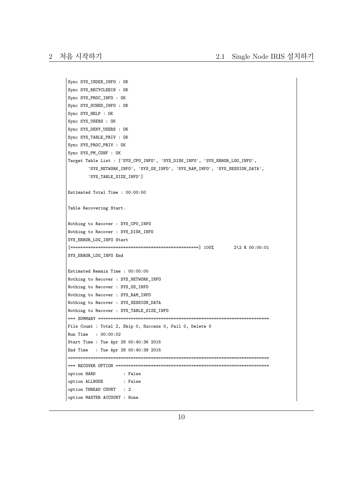```
Sync SYS_INDEX_INFO : OK
Sync SYS_RECYCLEBIN : OK
Sync SYS_PROC_INFO : OK
Sync SYS_SCHED_INFO : OK
Sync SYS_HELP : OK
Sync SYS_USERS : OK
Sync SYS_DENY_USERS : OK
Sync SYS_TABLE_PRIV : OK
Sync SYS_PROC_PRIV : OK
Sync SYS_PM_CONF : OK
Target Table List : ['SYS_CPU_INFO', 'SYS_DISK_INFO', 'SYS_ERROR_LOG_INFO',
        'SYS_NETWORK_INFO', 'SYS_OS_INFO', 'SYS_RAM_INFO', 'SYS_SESSION_DATA',
        'SYS_TABLE_SIZE_INFO']
Estimated Total Time : 00:00:00
Table Recovering Start.
Nothing to Recover : SYS_CPU_INFO
Nothing to Recover : SYS_DISK_INFO
SYS_ERROR_LOG_INFO Start
[===================================================] 100% 2\2 R 00:00:01
SYS_ERROR_LOG_INFO End
Estimated Remain Time : 00:00:00
Nothing to Recover : SYS_NETWORK_INFO
Nothing to Recover : SYS_OS_INFO
Nothing to Recover : SYS_RAM_INFO
Nothing to Recover : SYS_SESSION_DATA
Nothing to Recover : SYS_TABLE_SIZE_INFO
=== SUMMARY ====================================================================
File Count : Total 2, Skip 0, Success 0, Fail 0, Delete 0
Run Time : 00:00:02
Start Time : Tue Apr 28 00:40:36 2015
End Time : Tue Apr 28 00:40:38 2015
   ================================================================================
=== RECOVER OPTION =============================================================
option HARD : False
option ALLNODE : False
option THREAD COUNT : 2
option MASTER ACCOUNT : None
```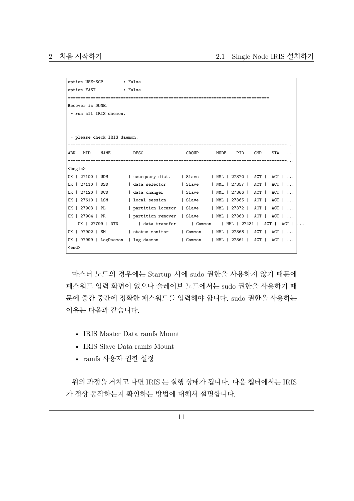```
option USE-SCP : False
option FAST : False
================================================================================
Recover is DONE.
- run all IRIS daemon.
- please check IRIS daemon.
---------------------------------------------------------------------------------------...
ABN MID NAME DESC SROUP MODE PID CMD STA ...
---------------------------------------------------------------------------------------...
<begin>
OK | 27100 | UDM | userquery dist. | Slave | NML | 27370 | ACT | ACT | ...
OK | 27110 | DSD | data selector | Slave | NML | 27357 | ACT | ACT | ...
OK | 27120 | DCD | data changer | Slave | NML | 27366 | ACT | ACT | ...
OK | 27610 | LSM | local session | Slave | NML | 27365 | ACT | ACT | ...
OK | 27903 | PL | partition locator | Slave | NML | 27372 | ACT | ACT | ...
OK | 27904 | PR | partition remover | Slave | NML | 27363 | ACT | ACT | ...
   OK | 27799 | DTD | data transfer | Common | NML | 27431 | ACT | ACT |
OK | 97902 | SM | status monitor | Common | NML | 27368 | ACT | ACT | ...
OK | 97999 | LogDaemon | log daemon | Common | NML | 27361 | ACT | ACT | ...
<end>
```
마스터 노드의 경우에는 Startup 시에 sudo 권한을 사용하지 않기 때문에 패스워드 입력 화면이 없으나 슬레이브 노드에서는 sudo 권한을 사용하기 때 문에 중간 중간에 정확한 패스워드를 입력해야 합니다. sudo 권한을 사용하는 이유는 다음과 같습니다.

- IRIS Master Data ramfs Mount
- IRIS Slave Data ramfs Mount
- ramfs 사용자 권한 설정

위의 과정을 거치고 나면 IRIS 는 실행 상태가 됩니다. 다음 챕터에서는 IRIS 가 정상 동작하는지 확인하는 방법에 대해서 설명합니다.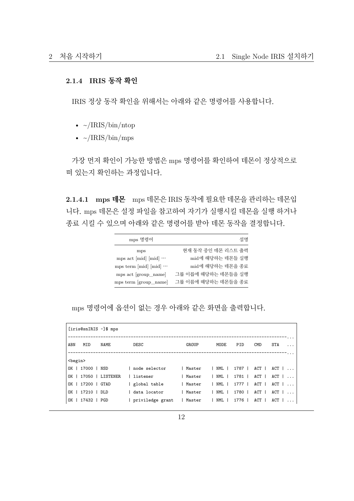#### <span id="page-11-0"></span>**2.1.4 IRIS 동작 확인**

IRIS 정상 동작 확인을 위해서는 아래와 같은 명령어를 사용합니다.

- $\sim$ /IRIS/bin/ntop
- $\sim$ /IRIS/bin/mps

가장 먼저 확인이 가능한 방법은 mps 명령어를 확인하여 데몬이 정상적으로 떠 있는지 확인하는 과정입니다.

**2.1.4.1 mps 데몬** mps 데몬은 IRIS 동작에 필요한 데몬을 관리하는 데몬입 니다. mps 데몬은 설정 파일을 참고하여 자기가 실행시킬 데몬을 실행 하거나 종료 시킬 수 있으며 아래와 같은 명령어를 받아 데몬 동작을 결정합니다.

| mps 명령어                          | 설명                  |
|----------------------------------|---------------------|
| mps                              | 현재 동작 중인 데몬 리스트 출력  |
| mps act $[mid]$ $[mid]$ $\cdots$ | mid에 해당하는 데몬들 실행    |
| mps term [mid] [mid] $\cdots$    | mid에 해당하는 데몬을 종료    |
| mps act [group_name]             | 그룹 이릅에 해당하는 데몬들을 실행 |
| mps term [group_name]            | 그룹 이름에 해당하는 데몬들을 종료 |

mps 명령어에 옵션이 없는 경우 아래와 같은 화면을 출력합니다.

|                 |                   | [iris@snIRIS ~]\$ mps |                  |          |         |            |       |                                 |  |
|-----------------|-------------------|-----------------------|------------------|----------|---------|------------|-------|---------------------------------|--|
| ABN             | MID               | NAME                  | DESC             | GROUP    | MODE    | PID        | CMD   | STA<br>$\cdots$                 |  |
| <begin></begin> |                   |                       |                  |          |         |            |       |                                 |  |
|                 | OK   17000   NSD  |                       | node selector    | l Master |         |            |       | NML   1787   ACT   ACT          |  |
|                 |                   | OK   17050   LISTENER | listener         | l Master |         | NML   1781 |       | $ACT$ $ $ $ACT$ $ $ $\ldots$    |  |
|                 | OK   17200   GTAD |                       | global table     | Master   |         | NML   1777 |       | $ACT$ $ $ $ACT$ $ $ $ $ $ $ $ $ |  |
|                 | OK   17210   DLD  |                       | data locator     | Master   | I NML I | 1780 I     |       | $ACT \mid ACT \mid \ldots$      |  |
|                 | OK   17432   PGD  |                       | priviledge grant | Master   | NML 1   | 1776 1     | ACT 1 | $ACT \mid \ldots$               |  |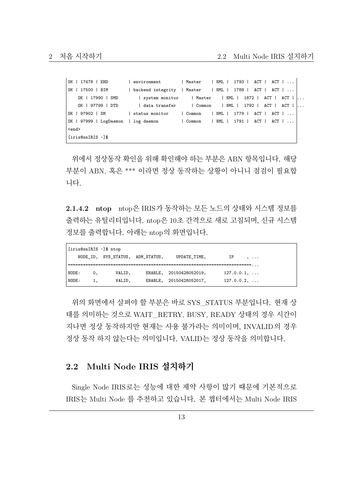| OK   17478   EHD                    | environment                                                    | Master   NML   1793   ACT   ACT |  |  |  |                                     |  |
|-------------------------------------|----------------------------------------------------------------|---------------------------------|--|--|--|-------------------------------------|--|
| OK   17500   BIM                    | backend integrity   Master   NML   1788   ACT   ACT   $\ldots$ |                                 |  |  |  |                                     |  |
| OK   17990   SMD                    | system monitor   Master   NML   1872                           |                                 |  |  |  | $ACT \mid ACT \mid $                |  |
| OK   97799   DTD                    | data transfer   Common   NML   1792                            |                                 |  |  |  | $ACT \mid ACT \mid $                |  |
| OK   97902   SM                     | status monitor   Common   NML   1779                           |                                 |  |  |  | $ACT$ $ $ $ACT$ $ $ $ $ $ $ $ $ $ $ |  |
| OK   97999   LogDaemon   log daemon |                                                                | Common   NML   1791   ACT   ACT |  |  |  |                                     |  |
| <end></end>                         |                                                                |                                 |  |  |  |                                     |  |
| firis@snIRIS ~1\$                   |                                                                |                                 |  |  |  |                                     |  |

위에서 정상동작 확인을 위해 확인해야 하는 부분은 ABN 항목입니다. 해당 부분이 ABN, 혹은 \*\*\* 이라면 정상 동작하는 상황이 아니니 점검이 필요합 니다.

**2.1.4.2 ntop** ntop은 IRIS가 동작하는 모든 노드의 상태와 시스템 정보를 출력하는 유틸리티입니다. ntop은 10초 간격으로 새로 고침되며, 신규 시스템 정보를 출력합니다. 아래는 ntop의 화면입니다.

| [iris@snIRIS ~]\$ ntop |  |    |                                  |  |                         |                     |  |  |  |
|------------------------|--|----|----------------------------------|--|-------------------------|---------------------|--|--|--|
|                        |  |    | NODE ID, SYS STATUS, ADM STATUS, |  | UPDATE TIME,            | IP<br>$\ddotsc$     |  |  |  |
|                        |  |    |                                  |  |                         |                     |  |  |  |
| NODE:                  |  | 0. | VALID,                           |  | ENABLE, 20150428052019, | $127.0.0.1, \ldots$ |  |  |  |
| NODE:                  |  | 1. | VALID,                           |  | ENABLE, 20150428052017, | $127.0.0.2, \ldots$ |  |  |  |

위의 화면에서 살펴야 할 부분은 바로 SYS\_STATUS 부분입니다. 현재 상 태를 의미하는 것으로 WAIT\_RETRY, BUSY, READY 상태의 경우 시간이 지나면 정상 동작하지만 현재는 사용 불가라는 의미이며, INVALID의 경우 정상 동작 하지 않는다는 의미입니다. VALID는 정상 동작을 의미합니다.

#### <span id="page-12-0"></span>**2.2 Multi Node IRIS 설치하기**

Single Node IRIS로는 성능에 대한 제약 사항이 많기 때문에 기본적으로 IRIS는 Multi Node 를 추천하고 있습니다. 본 챕터에서는 Multi Node IRIS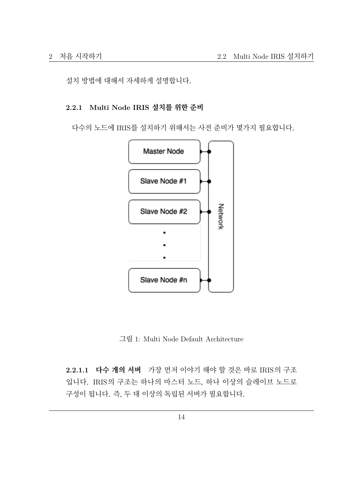설치 방법에 대해서 자세하게 설명합니다.

#### <span id="page-13-0"></span>**2.2.1 Multi Node IRIS 설치를 위한 준비**

다수의 노드에 IRIS를 설치하기 위해서는 사전 준비가 몇가지 필요합니다.



그림 1: Multi Node Default Architecture

**2.2.1.1 다수 개의 서버** 가장 먼저 이야기 해야 할 것은 바로 IRIS의 구조 입니다. IRIS의 구조는 하나의 마스터 노드, 하나 이상의 슬레이브 노드로 구성이 됩니다. 즉, 두 대 이상의 독립된 서버가 필요합니다.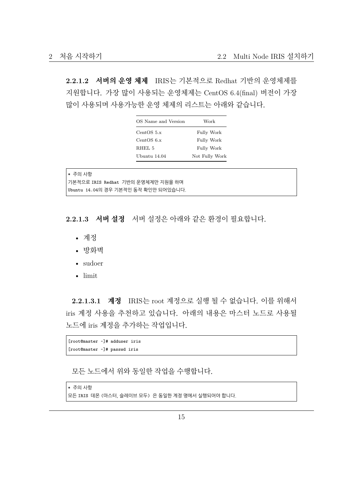**2.2.1.2 서버의 운영 체제** IRIS는 기본적으로 Redhat 기반의 운영체제를 지원합니다. 가장 많이 사용되는 운영체제는 CentOS 6.4(final) 버전이 가장 많이 사용되며 사용가능한 운영 체제의 리스트는 아래와 같습니다.

| OS Name and Version | Work           |
|---------------------|----------------|
| CentOS $5.x$        | Fully Work     |
| CentOS 6.x          | Fully Work     |
| RHEL 5              | Fully Work     |
| Ubuntu 14.04        | Not Fully Work |

| │∗ 주의 사항                               |  |
|----------------------------------------|--|
| │기본적으로 IRIS Redhat 기반의 운영체제만 지원을 하며    |  |
| │Մbuntu  14.04의 경우 기본적인 동작 확인만 되어있습니다. |  |

**2.2.1.3 서버 설정** 서버 설정은 아래와 같은 환경이 필요합니다.

- 계정
- 방화벽
- sudoer
- limit

**2.2.1.3.1 계정** IRIS는 root 계정으로 실행 될 수 없습니다. 이를 위해서 iris 계정 사용을 추천하고 있습니다. 아래의 내용은 마스터 노드로 사용될 노드에 iris 계정을 추가하는 작업입니다.

```
[root@master ~]# adduser iris
[root@master ~]# passwd iris
```
모든 노드에서 위와 동일한 작업을 수행합니다.

```
* 주의 사항
모든 IRIS 데몬 (마스터, 슬레이브 모두) 은 동일한 계정 명에서 실행되어야 합니다.
```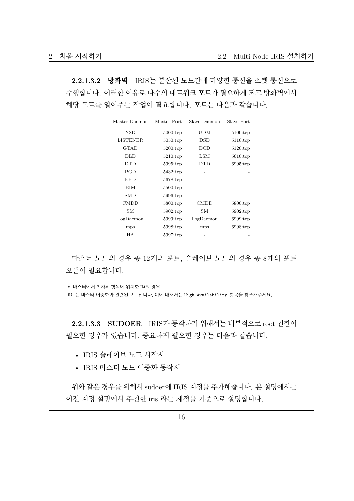**2.2.1.3.2 방화벽** IRIS는 분산된 노드간에 다양한 통신을 소켓 통신으로 수행합니다. 이러한 이유로 다수의 네트워크 포트가 필요하게 되고 방화벽에서 해당 포트를 열어주는 작업이 필요합니다. 포트는 다음과 같습니다.

| Master Daemon   | Master Port         | Slave Daemon       | Slave Port          |
|-----------------|---------------------|--------------------|---------------------|
| NSD             | $5000:\text{tcp}$   | UDM                | $5100:\mathsf{tcp}$ |
| <b>LISTENER</b> | $5050:\mathsf{tcp}$ | $\mathop{\rm DSD}$ | $5110:$ tcp         |
| GTAD            | $5200:\mathsf{tcp}$ | DCD                | $5120:\mathsf{tcp}$ |
| DLD             | $5210:\mathsf{tcp}$ | LSM                | $5610:\mathsf{tcp}$ |
| <b>DTD</b>      | $5995:\t{top}$      | <b>DTD</b>         | $6995:\text{tcp}$   |
| PGD             | $5432:\mathsf{tcp}$ |                    |                     |
| <b>EHD</b>      | $5678:\text{tcp}$   |                    |                     |
| BIM             | $5500:\mathsf{tcp}$ |                    |                     |
| <b>SMD</b>      | $5996:\text{tcp}$   |                    |                     |
| <b>CMDD</b>     | $5800:\text{tcp}$   | <b>CMDD</b>        | $5800:\mathsf{tcp}$ |
| SМ              | $5902:\mathsf{tcp}$ | SМ                 | $5902:\text{tcp}$   |
| LogDaemon       | $5999:$ tcp         | LogDaemon          | $6999:$ tcp         |
| mps             | 5998.tcp            | mps                | 6998:tcp            |
| НA              | $5997:\mathsf{tcp}$ |                    |                     |

마스터 노드의 경우 총 12개의 포트, 슬레이브 노드의 경우 총 8개의 포트 오픈이 필요합니다.

\* 마스터에서 최하위 항목에 위치한 HA의 경우 HA 는 마스터 이중화와 관련된 포트입니다. 이에 대해서는 High Availability 항목을 참조해주세요.

**2.2.1.3.3 SUDOER** IRIS가 동작하기 위해서는 내부적으로 root 권한이 필요한 경우가 있습니다. 중요하게 필요한 경우는 다음과 같습니다.

- IRIS 슬레이브 노드 시작시
- IRIS 마스터 노드 이중화 동작시

위와 같은 경우를 위해서 sudoer에 IRIS 계정을 추가해줍니다. 본 설명에서는 이전 계정 설명에서 추천한 iris 라는 계정을 기준으로 설명합니다.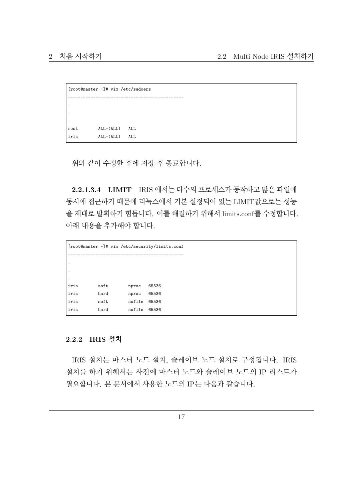```
[root@master ~]# vim /etc/sudoers
----------------------------------------------
.
.
.
root ALL=(ALL) ALL
iris ALL=(ALL) ALL
```
위와 같이 수정한 후에 저장 후 종료합니다.

**2.2.1.3.4 LIMIT** IRIS 에서는 다수의 프로세스가 동작하고 많은 파일에 동시에 접근하기 때문에 리눅스에서 기본 설정되어 있는 LIMIT값으로는 성능 을 제대로 발휘하기 힘듭니다. 이를 해결하기 위해서 limits.conf를 수정합니다. 아래 내용을 추가해야 합니다.

|                        | [root@master ~]# vim /etc/security/limits.conf |        |       |
|------------------------|------------------------------------------------|--------|-------|
|                        |                                                |        |       |
| $\bullet$<br>$\bullet$ |                                                |        |       |
| $\bullet$              |                                                |        |       |
| iris                   | soft                                           | nproc  | 65536 |
| iris                   | hard                                           | nproc  | 65536 |
| iris                   | soft                                           | nofile | 65536 |
| iris                   | hard                                           | nofile | 65536 |

#### <span id="page-16-0"></span>**2.2.2 IRIS 설치**

IRIS 설치는 마스터 노드 설치, 슬레이브 노드 설치로 구성됩니다. IRIS 설치를 하기 위해서는 사전에 마스터 노드와 슬레이브 노드의 IP 리스트가 필요합니다. 본 문서에서 사용한 노드의 IP는 다음과 같습니다.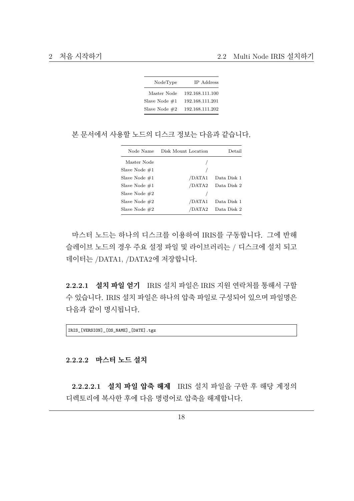| NodeType        | IP Address      |
|-----------------|-----------------|
| Master Node     | 192.168.111.100 |
| Slave Node $#1$ | 192.168.111.201 |
| Slave Node $#2$ | 192.168.111.202 |

본 문서에서 사용할 노드의 디스크 정보는 다음과 같습니다.

| Node Name        | Disk Mount Location | Detail      |
|------------------|---------------------|-------------|
| Master Node      |                     |             |
| Slave Node $\#1$ |                     |             |
| Slave Node $\#1$ | /DATA1              | Data Disk 1 |
| Slave Node $\#1$ | /DATA2              | Data Disk 2 |
| Slave Node $#2$  |                     |             |
| Slave Node $#2$  | /DATA1              | Data Disk 1 |
| Slave Node $#2$  | /DATA2              | Data Disk 2 |

마스터 노드는 하나의 디스크를 이용하여 IRIS를 구동합니다. 그에 반해 슬레이브 노드의 경우 주요 설정 파일 및 라이브러리는 / 디스크에 설치 되고 데이터는 /DATA1, /DATA2에 저장합니다.

**2.2.2.1 설치 파일 얻기** IRIS 설치 파일은 IRIS 지원 연락처를 통해서 구할 수 있습니다. IRIS 설치 파일은 하나의 압축 파일로 구성되어 있으며 파일명은 다음과 같이 명시됩니다.

IRIS\_[VERSION]\_[OS\_NAME]\_[DATE].tgz

#### **2.2.2.2 마스터 노드 설치**

**2.2.2.2.1 설치 파일 압축 해제** IRIS 설치 파일을 구한 후 해당 계정의 디렉토리에 복사한 후에 다음 명령어로 압축을 해제합니다.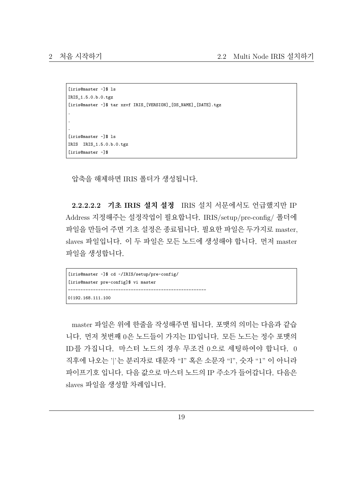```
[iris@master ~]$ ls
IRIS_1.5.0.b.0.tgz
[iris@master ~]$ tar xzvf IRIS_[VERSION]_[OS_NAME]_[DATE].tgz
.
.
.
[iris@master ~]$ ls
IRIS IRIS_1.5.0.b.0.tgz
[iris@master ~]$
```
압축을 해제하면 IRIS 폴더가 생성됩니다.

**2.2.2.2.2 기초 IRIS 설치 설정** IRIS 설치 서문에서도 언급했지만 IP Address 지정해주는 설정작업이 필요합니다. IRIS/setup/pre-config/ 폴더에 파일을 만들어 주면 기초 설정은 종료됩니다. 필요한 파일은 두가지로 master, slaves 파일입니다. 이 두 파일은 모든 노드에 생성해야 합니다. 먼저 master 파일을 생성합니다.

```
[iris@master ~]$ cd ~/IRIS/setup/pre-config/
[iris@master pre-config]$ vi master
-------------------------------------------------------
0|192.168.111.100
```
master 파일은 위에 한줄을 작성해주면 됩니다. 포맷의 의미는 다음과 같습 니다. 먼저 첫번째 0은 노드들이 가지는 ID입니다. 모든 노드는 정수 포맷의 ID를 가집니다. 마스터 노드의 경우 무조건 0으로 세팅하여야 합니다. 0 직후에 나오는 '|'는 분리자로 대문자 "I" 혹은 소문자 "l", 숫자 "1" 이 아니라 파이프기호 입니다. 다음 값으로 마스터 노드의 IP 주소가 들어갑니다. 다음은 slaves 파일을 생성할 차례입니다.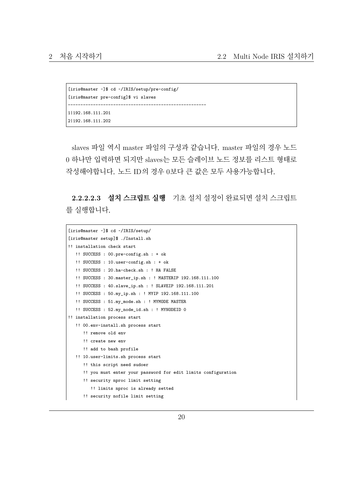```
[iris@master ~]$ cd ~/IRIS/setup/pre-config/
[iris@master pre-config]$ vi slaves
-------------------------------------------------------
1|192.168.111.201
2|192.168.111.202
```
slaves 파일 역시 master 파일의 구성과 같습니다. master 파일의 경우 노드 0 하나만 입력하면 되지만 slaves는 모든 슬레이브 노드 정보를 리스트 형태로 작성해야합니다. 노드 ID의 경우 0보다 큰 값은 모두 사용가능합니다.

**2.2.2.2.3 설치 스크립트 실행** 기초 설치 설정이 완료되면 설치 스크립트 를 실행합니다.

```
[iris@master ~]$ cd ~/IRIS/setup/
[iris@master setup]$ ./Install.sh
!! installation check start
  !! SUCCESS : 00.pre-config.sh : + ok
   !! SUCCESS : 10.user-config.sh : + ok
   !! SUCCESS : 20.ha-check.sh : ! HA FALSE
  !! SUCCESS : 30.master_ip.sh : ! MASTERIP 192.168.111.100
  !! SUCCESS : 40.slave_ip.sh : ! SLAVEIP 192.168.111.201
   !! SUCCESS : 50.my_ip.sh : ! MYIP 192.168.111.100
   !! SUCCESS : 51.my_mode.sh : ! MYMODE MASTER
  !! SUCCESS : 52.my_node_id.sh : ! MYNODEID 0
!! installation process start
   !! 00.env-install.sh process start
     !! remove old env
     !! create new env
      !! add to bash profile
   !! 10.user-limits.sh process start
      !! this script need sudoer
      !! you must enter your password for edit limits configuration
      !! security nproc limit setting
        !! limits nproc is already setted
      !! security nofile limit setting
```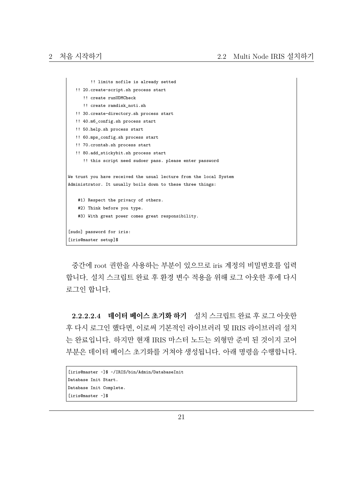```
!! limits nofile is already setted
   !! 20.create-script.sh process start
     !! create runUDMCheck
     !! create ramdisk noti.sh
   !! 30.create-directory.sh process start
   !! 40.m6_config.sh process start
   !! 50.help.sh process start
   !! 60.mps_config.sh process start
   !! 70.crontab.sh process start
   !! 80.add_stickybit.sh process start
      !! this script need sudoer pass. please enter password
We trust you have received the usual lecture from the local System
Administrator. It usually boils down to these three things:
   #1) Respect the privacy of others.
   #2) Think before you type.
   #3) With great power comes great responsibility.
[sudo] password for iris:
[iris@master setup]$
```
중간에 root 권한을 사용하는 부분이 있으므로 iris 계정의 비밀번호를 입력 합니다. 설치 스크립트 완료 후 환경 변수 적용을 위해 로그 아웃한 후에 다시 로그인 합니다.

**2.2.2.2.4 데이터 베이스 초기화 하기** 설치 스크립트 완료 후 로그 아웃한 후 다시 로그인 했다면, 이로써 기본적인 라이브러리 및 IRIS 라이브러리 설치 는 완료입니다. 하지만 현재 IRIS 마스터 노드는 외형만 준비 된 것이지 코어 부분은 데이터 베이스 초기화를 거쳐야 생성됩니다. 아래 명령을 수행합니다.

```
[iris@master ~]$ ~/IRIS/bin/Admin/DatabaseInit
Database Init Start.
Database Init Complete.
[iris@master ~]$
```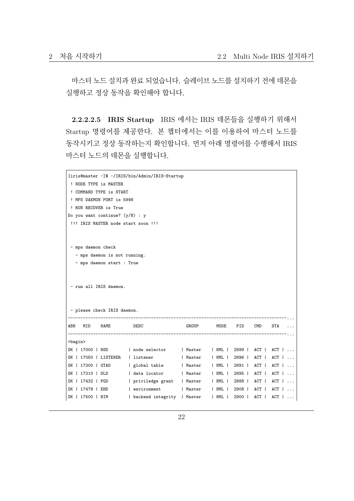마스터 노드 설치과 완료 되었습니다. 슬레이브 노드를 설치하기 전에 데몬을 실행하고 정상 동작을 확인해야 합니다.

**2.2.2.2.5 IRIS Startup** IRIS 에서는 IRIS 데몬들을 실행하기 위해서 Startup 명령어를 제공한다. 본 챕터에서는 이를 이용하여 마스터 노드를 동작시키고 정상 동작하는지 확인합니다. 먼저 아래 명령어를 수행해서 IRIS 마스터 노드의 데몬을 실행합니다.

| [iris@master ~]\$ ~/IRIS/bin/Admin/IRIS-Startup                    |                                                      |              |      |        |       |                   |  |  |  |  |  |
|--------------------------------------------------------------------|------------------------------------------------------|--------------|------|--------|-------|-------------------|--|--|--|--|--|
| ! NODE TYPE is MASTER                                              |                                                      |              |      |        |       |                   |  |  |  |  |  |
| ! COMMAND TYPE is START                                            |                                                      |              |      |        |       |                   |  |  |  |  |  |
| ! MPS DAEMON PORT is 5998                                          |                                                      |              |      |        |       |                   |  |  |  |  |  |
| ! RUN RECOVER is True                                              |                                                      |              |      |        |       |                   |  |  |  |  |  |
| Do you want continue? $(y/N)$ : y                                  |                                                      |              |      |        |       |                   |  |  |  |  |  |
| !!! IRIS MASTER node start soon !!!                                |                                                      |              |      |        |       |                   |  |  |  |  |  |
|                                                                    |                                                      |              |      |        |       |                   |  |  |  |  |  |
|                                                                    |                                                      |              |      |        |       |                   |  |  |  |  |  |
| - mps daemon check                                                 |                                                      |              |      |        |       |                   |  |  |  |  |  |
| - mps daemon is not running.                                       |                                                      |              |      |        |       |                   |  |  |  |  |  |
| - mps daemon start : True                                          |                                                      |              |      |        |       |                   |  |  |  |  |  |
|                                                                    |                                                      |              |      |        |       |                   |  |  |  |  |  |
|                                                                    |                                                      |              |      |        |       |                   |  |  |  |  |  |
| - run all IRIS daemon.                                             |                                                      |              |      |        |       |                   |  |  |  |  |  |
|                                                                    |                                                      |              |      |        |       |                   |  |  |  |  |  |
|                                                                    |                                                      |              |      |        |       |                   |  |  |  |  |  |
| - please check IRIS daemon.                                        |                                                      |              |      |        |       |                   |  |  |  |  |  |
|                                                                    |                                                      |              |      |        |       |                   |  |  |  |  |  |
| NAME<br>ABN<br>MID                                                 | DESC                                                 | GROUP        | MODE | PID    | CMD   | STA               |  |  |  |  |  |
| <begin></begin>                                                    |                                                      |              |      |        |       |                   |  |  |  |  |  |
| 0K   17000   NSD   node selector   Master   NML   2899   ACT   ACT |                                                      |              |      |        |       |                   |  |  |  |  |  |
| 0K   17050   LISTENER   listener   Master   NML   2896             |                                                      |              |      |        | $ACT$ | $ACT \mid \ldots$ |  |  |  |  |  |
| OK   17200   GTAD                                                  | global table         Master       NML   2891     ACT |              |      |        |       | $ACT \mid \ldots$ |  |  |  |  |  |
| 0K   17210   DLD   data locator   Master   NML   2895   ACT        |                                                      |              |      |        |       | $ACT \mid \ldots$ |  |  |  |  |  |
| OK   17432   PGD                                                   | priviledge grant   Master   NML   2888               |              |      |        | $ACT$ | $ACT \mid \ldots$ |  |  |  |  |  |
| OK   17478   EHD   environment                                     |                                                      | Master   NML |      | 2908   | $ACT$ | ACT               |  |  |  |  |  |
| OK   17500   BIM   backend integrity   Master   NML                |                                                      |              |      | $2900$ | $ACT$ | $ACT \mid \ldots$ |  |  |  |  |  |
|                                                                    |                                                      |              |      |        |       |                   |  |  |  |  |  |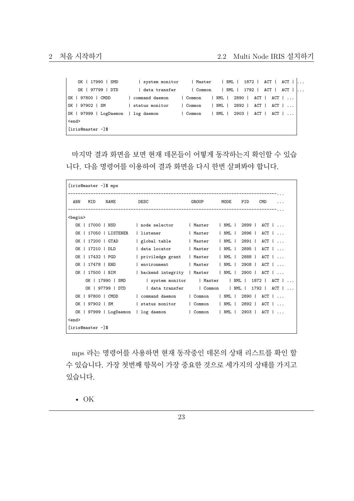| OK   17990   SMD                    | system monitor       Master     NML   1872    ACT    ACT |  |                                 |  |  |  |                                                          |  |                                         |                            |  |  |
|-------------------------------------|----------------------------------------------------------|--|---------------------------------|--|--|--|----------------------------------------------------------|--|-----------------------------------------|----------------------------|--|--|
| OK   97799   DTD                    | data transfer                                            |  | Common   NML   1792             |  |  |  |                                                          |  |                                         | $ACT \mid ACT \mid \ldots$ |  |  |
| OK   97800   CMDD                   | command daemon                                           |  | Common   NML   2890   ACT   ACT |  |  |  |                                                          |  |                                         |                            |  |  |
| OK   97902   SM                     | status monitor                                           |  | Common                          |  |  |  | NML   2892                                               |  | $ACT$ $ $ $ACT$ $ $ $ $ $ $ $ $ $ $ $ $ |                            |  |  |
| OK   97999   LogDaemon   log daemon |                                                          |  | Common                          |  |  |  | $\vert$ NML $\vert$ 2903 $\vert$ ACT $\vert$ ACT $\vert$ |  |                                         |                            |  |  |
| $end$                               |                                                          |  |                                 |  |  |  |                                                          |  |                                         |                            |  |  |
| [iris@master ~]\$                   |                                                          |  |                                 |  |  |  |                                                          |  |                                         |                            |  |  |

마지막 결과 화면을 보면 현재 데몬들이 어떻게 동작하는지 확인할 수 있습 니다. 다음 명령어를 이용하여 결과 화면을 다시 한번 살펴봐야 합니다.

|                 | [iris@master ~]\$ mps |                  |                                     |          |             |                   |            |                              |
|-----------------|-----------------------|------------------|-------------------------------------|----------|-------------|-------------------|------------|------------------------------|
| ABN             | MID                   | NAME             | DESC                                | GROUP    | MODE        | PID               | <b>CMD</b> |                              |
| <begin></begin> |                       |                  |                                     |          |             |                   |            |                              |
| OK              |                       | 17000   NSD      | node selector                       | l Master | $ $ NML $ $ | 2899 I            |            | $ACT \mid \ldots$            |
| OK I            |                       | 17050   LISTENER | l listener                          | Master   | $ $ NML $ $ | 2896              |            | $ACT \mid \ldots$            |
| OK I            |                       | 17200   GTAD     | global table                        | Master   | $ $ NML $ $ | 2891              |            | $ACT \mid \ldots$            |
|                 | OK   17210   DLD      |                  | data locator                        | Master   | I NML I     | 2895              |            | $ACT \mid \ldots$            |
|                 | OK   17432   PGD      |                  | priviledge grant                    | Master   | I NML I     | 2888              |            | $ACT \mid \ldots$            |
|                 | OK   17478   EHD      |                  | environment                         | Master   | I NML I     | 2908              |            | $ACT \mid \ldots$            |
|                 | OK   17500   BIM      |                  | backend integrity   Master          |          | $ $ NML $ $ | 2900              |            | $ACT \mid \ldots$            |
|                 |                       | OK   17990   SMD | system monitor   Master             |          |             | $\mid$ NML $\mid$ | 1872       | $ACT \mid \ldots$            |
|                 |                       | OK   97799   DTD | data transfer                       | Common   |             |                   |            | $ $ NML $ $ 1792 $ $ ACT $ $ |
|                 | OK   97800   CMDD     |                  | command daemon                      | Common   | I NML I     | 2890              |            | $ACT \mid \ldots$            |
| OK              |                       | 97902   SM       | status monitor                      | Common   | NML         | 2892              |            | $ACT \mid \ldots$            |
|                 |                       |                  | OK   97999   LogDaemon   log daemon | Common   | NML         | 2903 l            |            | $ACT \mid \ldots$            |
| <end></end>     |                       |                  |                                     |          |             |                   |            |                              |
|                 | firis@master ~1\$     |                  |                                     |          |             |                   |            |                              |

mps 라는 명령어를 사용하면 현재 동작중인 데몬의 상태 리스트를 확인 할 수 있습니다. 가장 첫번째 항목이 가장 중요한 것으로 세가지의 상태를 가지고 있습니다.

• OK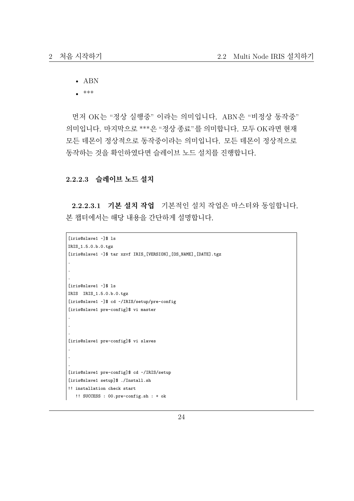• ABN

• \*\*\*

먼저 OK는 "정상 실행중" 이라는 의미입니다. ABN은 "비정상 동작중" 의미입니다. 마지막으로 \*\*\*은 "정상 종료"를 의미합니다. 모두 OK라면 현재 모든 데몬이 정상적으로 동작중이라는 의미입니다. 모든 데몬이 정상적으로 동작하는 것을 확인하였다면 슬레이브 노드 설치를 진행합니다.

#### **2.2.2.3 슬레이브 노드 설치**

**2.2.2.3.1 기본 설치 작업** 기본적인 설치 작업은 마스터와 동일합니다. 본 챕터에서는 해당 내용을 간단하게 설명합니다.

```
[iris@slave1 ~]$ ls
IRIS_1.5.0.b.0.tgz
[iris@slave1 ~]$ tar xzvf IRIS_[VERSION]_[OS_NAME]_[DATE].tgz
.
.
.
[iris@slave1 ~]$ ls
IRIS IRIS_1.5.0.b.0.tgz
[iris@slave1 ~]$ cd ~/IRIS/setup/pre-config
[iris@slave1 pre-config]$ vi master
.
.
.
[iris@slave1 pre-config]$ vi slaves
.
.
.
[iris@slave1 pre-config]$ cd ~/IRIS/setup
[iris@slave1 setup]$ ./Install.sh
!! installation check start
  !! SUCCESS : 00.pre-config.sh : + ok
```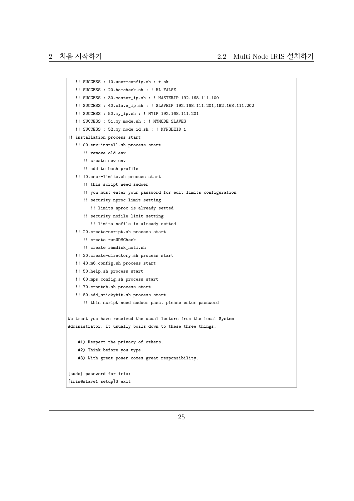```
!! SUCCESS : 10.user-config.sh : + ok
   !! SUCCESS : 20.ha-check.sh : ! HA FALSE
   !! SUCCESS : 30.master_ip.sh : ! MASTERIP 192.168.111.100
  !! SUCCESS : 40.slave_ip.sh : ! SLAVEIP 192.168.111.201,192.168.111.202
   !! SUCCESS : 50.my_ip.sh : ! MYIP 192.168.111.201
   !! SUCCESS : 51.my_mode.sh : ! MYMODE SLAVES
   !! SUCCESS : 52.my_node_id.sh : ! MYNODEID 1
!! installation process start
   !! 00.env-install.sh process start
      !! remove old env
      !! create new env
      !! add to bash profile
   !! 10.user-limits.sh process start
      !! this script need sudoer
      !! you must enter your password for edit limits configuration
      !! security nproc limit setting
         !! limits nproc is already setted
      !! security nofile limit setting
         !! limits nofile is already setted
   !! 20.create-script.sh process start
     !! create runUDMCheck
      !! create ramdisk noti.sh
   !! 30.create-directory.sh process start
   !! 40.m6_config.sh process start
   !! 50.help.sh process start
   !! 60.mps_config.sh process start
   !! 70.crontab.sh process start
   !! 80.add_stickybit.sh process start
      !! this script need sudoer pass. please enter password
We trust you have received the usual lecture from the local System
Administrator. It usually boils down to these three things:
   #1) Respect the privacy of others.
   #2) Think before you type.
   #3) With great power comes great responsibility.
[sudo] password for iris:
[iris@slave1 setup]$ exit
```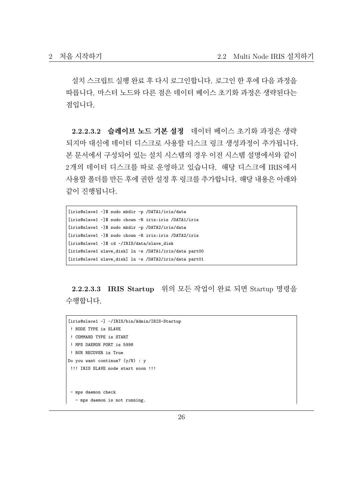설치 스크립트 실행 완료 후 다시 로그인합니다. 로그인 한 후에 다음 과정을 따릅니다. 마스터 노드와 다른 점은 데이터 베이스 초기화 과정은 생략된다는 점입니다.

**2.2.2.3.2 슬레이브 노드 기본 설정** 데이터 베이스 초기화 과정은 생략 되지마 대신에 데이터 디스크로 사용할 디스크 링크 생성과정이 추가됩니다. 본 문서에서 구성되어 있는 설치 시스템의 경우 이전 시스템 설명에서와 같이 2개의 데이터 디스크를 따로 운영하고 있습니다. 해당 디스크에 IRIS에서 사용할 폴더를 만든 후에 권한 설정 후 링크를 추가합니다. 해당 내용은 아래와 같이 진행됩니다.

```
[iris@slave1 ~]$ sudo mkdir -p /DATA1/iris/data
[iris@slave1 ~]$ sudo chown -R iris:iris /DATA1/iris
[iris@slave1 ~]$ sudo mkdir -p /DATA2/iris/data
[iris@slave1 ~]$ sudo chown -R iris:iris /DATA2/iris
[iris@slave1 ~]$ cd ~/IRIS/data/slave_disk
[iris@slave1 slave_disk] ln -s /DATA1/iris/data part00
[iris@slave1 slave_disk] ln -s /DATA2/iris/data part01
```
**2.2.2.3.3 IRIS Startup** 위의 모든 작업이 완료 되면 Startup 명령을 수행합니다.

```
[iris@slave1 ~] ~/IRIS/bin/Admin/IRIS-Startup
! NODE TYPE is SLAVE
! COMMAND TYPE is START
! MPS DAEMON PORT is 5998
! RUN RECOVER is True
Do you want continue? (y/N) : y
!!! IRIS SLAVE node start soon !!!
- mps daemon check
  - mps daemon is not running.
```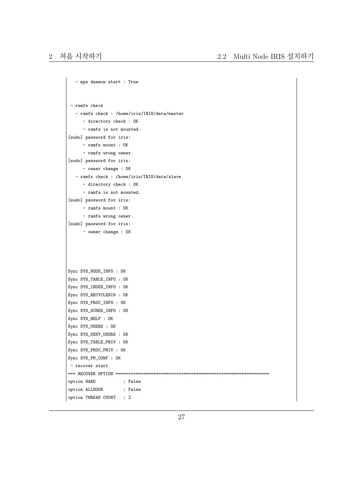```
- mps daemon start : True
- ramfs check
   - ramfs check : /home/iris/IRIS/data/master
     - directory check : OK
     - ramfs is not mounted.
[sudo] password for iris:
     - ramfs mount : OK
     - ramfs wrong owner.
[sudo] password for iris:
     - owner change : OK
  - ramfs check : /home/iris/IRIS/data/slave
     - directory check : OK
     - ramfs is not mounted.
[sudo] password for iris:
     - ramfs mount : OK
     - ramfs wrong owner.
[sudo] password for iris:
     - owner change : OK
Sync SYS NODE INFO : OK
Sync SYS_TABLE_INFO : OK
Sync SYS_INDEX_INFO : OK
Sync SYS_RECYCLEBIN : OK
Sync SYS_PROC_INFO : OK
Sync SYS_SCHED_INFO : OK
Sync SYS_HELP : OK
Sync SYS_USERS : OK
Sync SYS_DENY_USERS : OK
Sync SYS_TABLE_PRIV : OK
Sync SYS_PROC_PRIV : OK
Sync SYS_PM_CONF : OK
- recover start
=== RECOVER OPTION =============================================================
option HARD : False
option ALLNODE : False
option THREAD COUNT : 2
```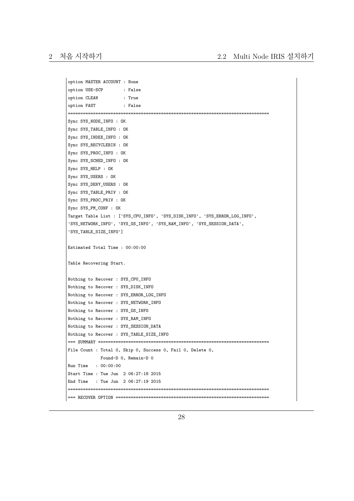```
option MASTER ACCOUNT : None
option USE-SCP : False
option CLEAN : True
option FAST : False
================================================================================
Sync SYS_NODE_INFO : OK
Sync SYS_TABLE_INFO : OK
Sync SYS_INDEX_INFO : OK
Sync SYS_RECYCLEBIN : OK
Sync SYS_PROC_INFO : OK
Sync SYS_SCHED_INFO : OK
Sync SYS_HELP : OK
Sync SYS_USERS : OK
Sync SYS_DENY_USERS : OK
Sync SYS_TABLE_PRIV : OK
Sync SYS_PROC_PRIV : OK
Sync SYS_PM_CONF : OK
Target Table List : ['SYS_CPU_INFO', 'SYS_DISK_INFO', 'SYS_ERROR_LOG_INFO',
'SYS_NETWORK_INFO', 'SYS_OS_INFO', 'SYS_RAM_INFO', 'SYS_SESSION_DATA',
'SYS_TABLE_SIZE_INFO']
Estimated Total Time : 00:00:00
Table Recovering Start.
Nothing to Recover : SYS_CPU_INFO
Nothing to Recover : SYS_DISK_INFO
Nothing to Recover : SYS_ERROR_LOG_INFO
Nothing to Recover : SYS_NETWORK_INFO
Nothing to Recover : SYS_OS_INFO
Nothing to Recover : SYS_RAM_INFO
Nothing to Recover : SYS_SESSION_DATA
Nothing to Recover : SYS_TABLE_SIZE_INFO
=== SUMMARY ====================================================================
File Count : Total 0, Skip 0, Success 0, Fail 0, Delete 0,
            Found-D 0, Remain-D 0
Run Time : 00:00:00
Start Time : Tue Jun 2 06:27:18 2015
End Time : Tue Jun 2 06:27:19 2015
================================================================================
=== RECOVER OPTION =============================================================
```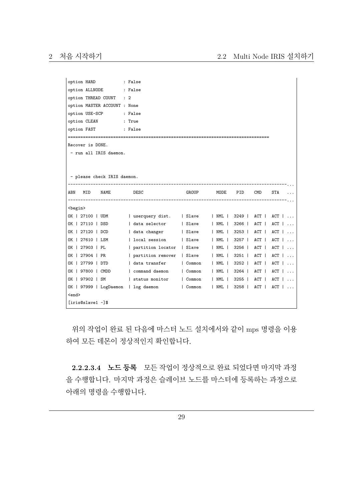```
option HARD : False
option ALLNODE : False
option THREAD COUNT : 2
option MASTER ACCOUNT : None
option USE-SCP : False
option CLEAN : True
option FAST : False
================================================================================
Recover is DONE.
- run all IRIS daemon.
- please check IRIS daemon.
    ---------------------------------------------------------------------------------------...
ABN MID NAME DESC GROUP MODE PID CMD STA ...
---------------------------------------------------------------------------------------...
<begin>
OK | 27100 | UDM | userquery dist. | Slave | NML | 3249 | ACT | ACT | ...
OK | 27110 | DSD | data selector | Slave | NML | 3266 | ACT | ACT | ...
OK | 27120 | DCD | data changer | Slave | NML | 3253 | ACT | ACT | ...
OK | 27610 | LSM | local session | Slave | NML | 3257 | ACT | ACT | ...
OK | 27903 | PL | partition locator | Slave | NML | 3256 | ACT | ACT | ...
OK | 27904 | PR | partition remover | Slave | NML | 3251 | ACT | ACT | ...
OK | 27799 | DTD | data transfer | Common | NML | 3252 | ACT | ACT | ...
OK | 97800 | CMDD | command daemon | Common | NML | 3264 | ACT | ACT | ...
OK | 97902 | SM | status monitor | Common | NML | 3255 | ACT | ACT | ...
OK | 97999 | LogDaemon | log daemon | Common | NML | 3258 | ACT | ACT | ...
\langle and \rangle[iris@slave1 ~]$
```
위의 작업이 완료 된 다음에 마스터 노드 설치에서와 같이 mps 명령을 이용 하여 모든 데몬이 정상적인지 확인합니다.

**2.2.2.3.4 노드 등록** 모든 작업이 정상적으로 완료 되었다면 마지막 과정 을 수행합니다. 마지막 과정은 슬레이브 노드를 마스터에 등록하는 과정으로 아래의 명령을 수행합니다.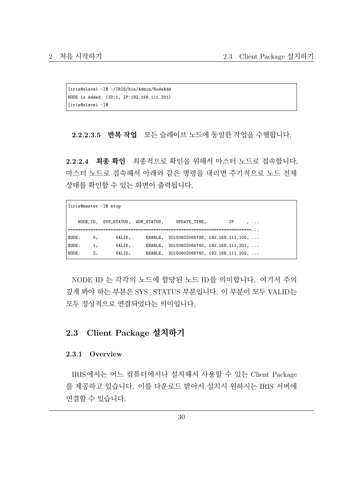[iris@slave1 ~]\$ ~/IRIS/bin/Admin/NodeAdd NODE is Added. (ID:1, IP:192.168.111.201) [iris@slave1 ~]\$

**2.2.2.3.5 반복 작업** 모든 슬레이브 노드에 동일한 작업을 수행합니다.

**2.2.2.4 최종 확인** 최종적으로 확인을 위해서 마스터 노드로 접속합니다. 마스터 노드로 접속해서 아래와 같은 명령을 내리면 주기적으로 노드 전체 상태를 확인할 수 있는 화면이 출력됩니다.

| UPDATE TIME,<br>NODE ID, SYS STATUS, ADM STATUS,<br>IP<br>$\ddotsc$<br>========================<br>======= , , , , |
|--------------------------------------------------------------------------------------------------------------------|
|                                                                                                                    |
|                                                                                                                    |
| NODE:<br>ENABLE, $20150602065738$ , $192.168.111.100$ ,<br>VALID,<br>0,                                            |
| NODE:<br>ENABLE, $20150602065740$ , $192.168.111.201$ ,<br>VALID,<br>1,                                            |
| NODE:<br>ENABLE, $20150602065740$ , $192.168.111.202$ ,<br>2,<br>VALID.                                            |

NODE ID 는 각각의 노드에 할당된 노드 ID를 의미합니다. 여기서 주의 깊게 봐야 하는 부분은 SYS\_STATUS 부분입니다. 이 부분이 모두 VALID는 모두 정상적으로 연결되었다는 의미입니다.

#### <span id="page-29-0"></span>**2.3 Client Package 설치하기**

#### <span id="page-29-1"></span>**2.3.1 Overview**

IRIS에서는 어느 컴퓨터에서나 설치해서 사용할 수 있는 Client Package 를 제공하고 있습니다. 이를 다운로드 받아서 설치시 원하시는 IRIS 서버에 연결할 수 있습니다.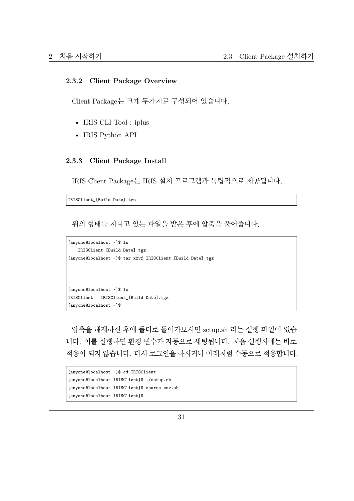#### <span id="page-30-0"></span>**2.3.2 Client Package Overview**

Client Package는 크게 두가지로 구성되어 있습니다.

- IRIS CLI Tool : iplus
- IRIS Python API

#### <span id="page-30-1"></span>**2.3.3 Client Package Install**

IRIS Client Package는 IRIS 설치 프로그램과 독립적으로 제공됩니다.

IRISClient\_[Build Date].tgz

위의 형태를 지니고 있는 파일을 받은 후에 압축을 풀어줍니다.

```
[anyone@localhost ~]$ ls
   IRISClient_[Build Date].tgz
[anyone@localhost ~]$ tar xzvf IRISClient_[Build Date].tgz
.
.
.
[anyone@localhost ~]$ ls
IRISClient IRISClient_[Build Date].tgz
[anyone@localhost ~]$
```
압축을 해제하신 후에 폴더로 들어가보시면 setup.sh 라는 실행 파일이 있습 니다. 이를 실행하면 환경 변수가 자동으로 세팅됩니다. 처음 실행시에는 바로 적용이 되지 않습니다. 다시 로그인을 하시거나 아래처럼 수동으로 적용합니다.

```
[anyone@localhost ~]$ cd IRISClient
[anyone@localhost IRISClient]$ ./setup.sh
[anyone@localhost IRISClient]$ source env.sh
[anyone@localhost IRISClient]$
```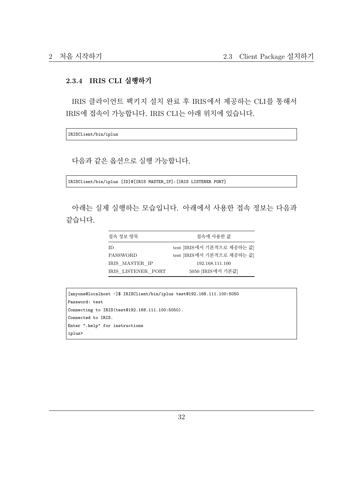#### **2.3.4 IRIS CLI 실행하기**

IRIS 클라이언트 팩키지 설치 완료 후 IRIS에서 제공하는 CLI를 통해서 IRIS에 접속이 가능합니다. IRIS CLI는 아래 위치에 있습니다.

IRISClient/bin/iplus

다음과 같은 옵션으로 실행 가능합니다.

IRISClient/bin/iplus [ID]@[IRIS MASTER\_IP]:[IRIS LISTENER PORT]

아래는 실제 실행하는 모습입니다. 아래에서 사용한 접속 정보는 다음과 같습니다.

| 접속 정보 항목           | 접속에 사용한 값                  |
|--------------------|----------------------------|
| ΙD                 | test [IRIS에서 기본적으로 제공하는 값] |
| PASSWORD           | test [IRIS에서 기본적으로 제공하는 값] |
| IRIS MASTER IP     | 192.168.111.100            |
| IRIS LISTENER PORT | 5050 [IRIS에서 기본값]          |

```
[anyone@localhost ~]$ IRISClient/bin/iplus test@192.168.111.100:5050
Password: test
Connecting to IRIS(test@192.168.111.100:5050).
Connected to IRIS.
Enter ".help" for instructions
iplus>
```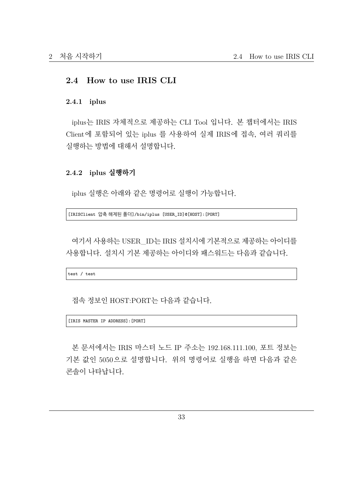#### **2.4 How to use IRIS CLI**

#### <span id="page-32-0"></span>**2.4.1 iplus**

iplus는 IRIS 자체적으로 제공하는 CLI Tool 입니다. 본 챕터에서는 IRIS Client에 포함되어 있는 iplus 를 사용하여 실제 IRIS에 접속, 여러 쿼리를 실행하는 방법에 대해서 설명합니다.

#### **2.4.2 iplus 실행하기**

iplus 실행은 아래와 같은 명령어로 실행이 가능합니다.

[IRISClient 압축 해제된 폴더]/bin/iplus [USER\_ID]@[HOST]:[PORT]

여기서 사용하는 USER\_ID는 IRIS 설치시에 기본적으로 제공하는 아이디를 사용합니다. 설치시 기본 제공하는 아이디와 패스워드는 다음과 같습니다.

test / test

접속 정보인 HOST:PORT는 다음과 같습니다.

[IRIS MASTER IP ADDRESS]:[PORT]

본 문서에서는 IRIS 마스터 노드 IP 주소는 192.168.111.100, 포트 정보는 기본 값인 5050으로 설명합니다. 위의 명령어로 실행을 하면 다음과 같은 콘솔이 나타납니다.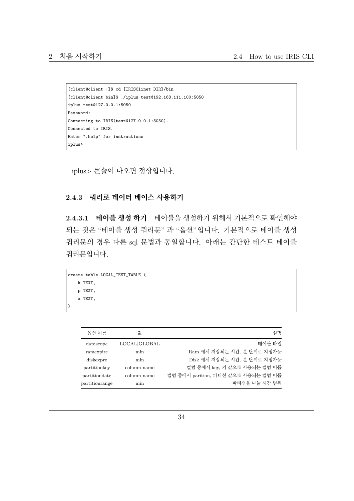```
[client@client ~]$ cd [IRISClinet DIR]/bin
[client@client bin]$ ./iplus test@192.168.111.100:5050
iplus test@127.0.0.1:5050
Password:
Connecting to IRIS(test@127.0.0.1:5050).
Connected to IRIS.
Enter ".help" for instructions
iplus>
```
iplus> 콘솔이 나오면 정상입니다.

#### **2.4.3 쿼리로 데이터 베이스 사용하기**

**2.4.3.1 테이블 생성 하기** 테이블을 생성하기 위해서 기본적으로 확인해야 되는 것은 "테이블 생성 쿼리문" 과 "옵션"입니다. 기본적으로 테이블 생성 쿼리문의 경우 다른 sql 문법과 동일합니다. 아래는 간단한 테스트 테이블 쿼리문입니다.

```
create table LOCAL_TEST_TABLE (
   k TEXT,
   p TEXT,
    a TEXT,
)
```

| 옵션 이름          | 값            | 설명                                  |
|----------------|--------------|-------------------------------------|
| datascope      | LOCAL GLOBAL | 테이블 타입                              |
| ramexpire      | min          | Ram 에서 저장되는 시간. 분 단위로 지정가능          |
| diskexpre      | min          | Disk 에서 저장되는 시간, 분 단위로 지정가능         |
| partitionkey   | column name  | 컬럼 중에서 kev, 키 값으로 사용되는 컬럼 이름        |
| partitiondate  | column name  | 컬럼 중에서 parition, 파티션 값으로 사용되는 컬럼 이름 |
| partitionrange | min          | 파티션을 나눌 시가 범위                       |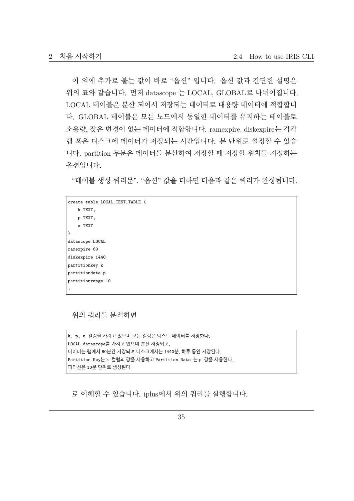이 외에 추가로 붙는 값이 바로 "옵션" 입니다. 옵션 값과 간단한 설명은 위의 표와 같습니다. 먼저 datascope 는 LOCAL, GLOBAL로 나뉘어집니다. LOCAL 테이블은 분산 되어서 저장되는 데이터로 대용량 데이터에 적합합니 다. GLOBAL 테이블은 모든 노드에서 동일한 데이터를 유지하는 테이블로 소용량, 잦은 변경이 없는 데이터에 적합합니다. ramexpire, diskexpire는 각각 램 혹은 디스크에 데이터가 저장되는 시간입니다. 분 단위로 설정할 수 있습 니다. partition 부분은 데이터를 분산하여 저장할 때 저장할 위치를 지정하는 옵션입니다.

"테이블 생성 쿼리문", "옵션" 값을 더하면 다음과 같은 쿼리가 완성됩니다.

```
create table LOCAL_TEST_TABLE (
   k TEXT,
   p TEXT,
    a TEXT
)
datascope LOCAL
ramexpire 60
diskexpire 1440
partitionkey k
partitiondate p
partitionrange 10
;
```
위의 쿼리를 분석하면

```
k, p, a 컬럼을 가지고 있으며 모든 컬럼은 텍스트 데이터를 저장한다.
LOCAL datascope를 가지고 있으며 분산 저장되고,
데이터는 램에서 60분간 저장되며 디스크에서는 1440분, 하루 동안 저장된다.
Partition Key는 k 컬럼의 값을 사용하고 Partition Date 는 p 값을 사용한다.
파티션은 10분 단위로 생성된다.
```
로 이해할 수 있습니다. iplus에서 위의 쿼리를 실행합니다.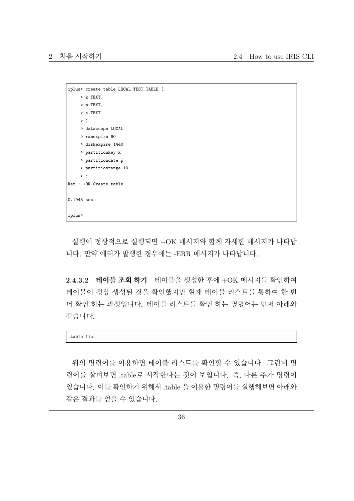```
iplus> create table LOCAL_TEST_TABLE (
    > k TEXT,
    > p TEXT,
     > a TEXT
    >)
    > datascope LOCAL
    > ramexpire 60
    > diskexpire 1440
    > partitionkey k
    > partitiondate p
    > partitionrange 10
    \rightarrow :
Ret : +OK Create table
0.1945 sec
iplus>
```
실행이 정상적으로 실행되면 +OK 메시지와 함께 자세한 메시지가 나타납 니다. 만약 에러가 발생한 경우에는 -ERR 메시지가 나타납니다.

**2.4.3.2 테이블 조회 하기** 테이블을 생성한 후에 +OK 메시지를 확인하여 테이블이 정상 생성된 것을 확인했지만 현재 테이블 리스트를 통하여 한 번 더 확인 하는 과정입니다. 테이블 리스트를 확인 하는 명령어는 먼저 아래와 같습니다.

.table list

위의 명령어를 이용하면 테이블 리스트를 확인할 수 있습니다. 그런데 명 령어를 살펴보면 .table로 시작한다는 것이 보입니다. 즉, 다른 추가 명령이 있습니다. 이를 확인하기 위해서 .table 을 이용한 명령어를 실행해보면 아래와 같은 결과를 얻을 수 있습니다.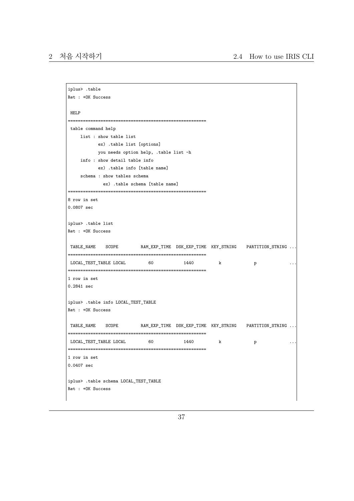```
iplus> .table
Ret : +OK Success
HELP
=======================================================
table command help
    list : show table list
           ex) .table list [options]
          you needs option help, .table list -h
    info : show detail table info
          ex) .table info [table name]
    schema : show tables schema
            ex) .table schema [table name]
=======================================================
8 row in set
0.0807 sec
iplus> .table list
Ret : +OK Success
TABLE_NAME SCOPE RAM_EXP_TIME DSK_EXP_TIME KEY_STRING PARTITION_STRING ...
=======================================================
LOCAL_TEST_TABLE LOCAL 60 1440 k p ...
=======================================================
1 row in set
0.2841 sec
iplus> .table info LOCAL_TEST_TABLE
Ret : +OK Success
TABLE_NAME SCOPE RAM_EXP_TIME DSK_EXP_TIME KEY_STRING PARTITION_STRING ...
=======================================================
\texttt{LOCAL\_TEST\_TABLE\,\,LOGAL} \qquad \qquad 60 \qquad \qquad 1440 \qquad \qquad k \qquad \qquad p \qquad \qquad \ldots=======================================================
1 row in set
0.0407 sec
iplus> .table schema LOCAL_TEST_TABLE
Ret : +OK Success
```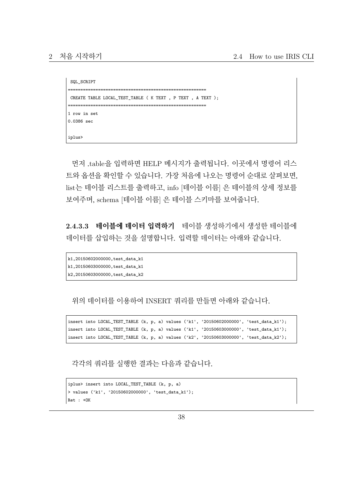```
SQL_SCRIPT
=======================================================
CREATE TABLE LOCAL_TEST_TABLE ( K TEXT , P TEXT , A TEXT );
=======================================================
1 row in set
0.0386 sec
iplus>
```
먼저 .table을 입력하면 HELP 메시지가 출력됩니다. 이곳에서 명령어 리스 트와 옵션을 확인할 수 있습니다. 가장 처음에 나오는 명령어 순대로 살펴보면, list는 테이블 리스트를 출력하고, info [테이블 이름] 은 테이블의 상세 정보를 보여주며, schema [테이블 이름] 은 테이블 스키마를 보여줍니다.

**2.4.3.3 테이블에 데이터 입력하기** 테이블 생성하기에서 생성한 테이블에 데이터를 삽입하는 것을 설명합니다. 입력할 데이터는 아래와 같습니다.

```
k1,20150602000000,test_data_k1
k1,20150603000000,test_data_k1
k2,20150603000000,test_data_k2
```
위의 데이터를 이용하여 INSERT 쿼리를 만들면 아래와 같습니다.

insert into LOCAL\_TEST\_TABLE (k, p, a) values ('k1', '20150602000000', 'test\_data\_k1'); insert into LOCAL\_TEST\_TABLE (k, p, a) values ('k1', '20150603000000', 'test\_data\_k1'); insert into LOCAL\_TEST\_TABLE (k, p, a) values  $('k2', '2015060300000', 'test_data_k2')$ ;

각각의 쿼리를 실행한 결과는 다음과 같습니다.

```
iplus> insert into LOCAL_TEST_TABLE (k, p, a)
> values ('k1', '20150602000000', 'test_data_k1');
Ret : +OK
```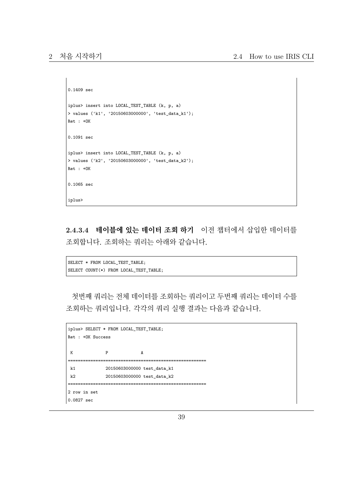```
0.1409 sec
iplus> insert into LOCAL_TEST_TABLE (k, p, a)
> values ('k1', '20150603000000', 'test_data_k1');
Ret : +OK
0.1091 sec
iplus> insert into LOCAL_TEST_TABLE (k, p, a)
> values ('k2', '20150603000000', 'test_data_k2');
Ret : +OK
0.1065 sec
iplus>
```
**2.4.3.4 테이블에 있는 데이터 조회 하기** 이전 챕터에서 삽입한 데이터를 조회합니다. 조회하는 쿼리는 아래와 같습니다.

```
SELECT * FROM LOCAL_TEST_TABLE;
SELECT COUNT(*) FROM LOCAL_TEST_TABLE;
```
첫번째 쿼리는 전체 데이터를 조회하는 쿼리이고 두번째 쿼리는 데이터 수를 조회하는 쿼리입니다. 각각의 쿼리 실행 결과는 다음과 같습니다.

```
iplus> SELECT * FROM LOCAL_TEST_TABLE;
Ret : +OK Success
K P A
=======================================================
k1 20150603000000 test_data_k1
k2 20150603000000 test_data_k2
                     =======================================================
2 row in set
0.0827 sec
```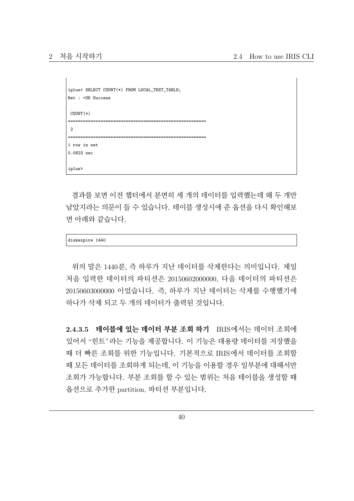```
iplus> SELECT COUNT(*) FROM LOCAL_TEST_TABLE;
Ret : +OK Success
COUNT(*)
=======================================================
\Omega=======================================================
1 row in set
0.0823 sec
iplus>
```
결과를 보면 이전 챕터에서 분면히 세 개의 데이터를 입력했는데 왜 두 개만 남았지라는 의문이 들 수 있습니다. 테이블 생성시에 준 옵션을 다시 확인해보 면 아래와 같습니다.

| 1440<br>--- |
|-------------|
|-------------|

위의 말은 1440분, 즉 하루가 지난 데이터를 삭제한다는 의미입니다. 제일 처음 입력한 데이터의 파티션은 20150602000000, 다음 데이터의 파티션은 20150603000000 이었습니다. 즉, 하루가 지난 데이터는 삭제를 수행했기에 하나가 삭제 되고 두 개의 데이터가 출력된 것입니다.

**2.4.3.5 테이블에 있는 데이터 부분 조회 하기** IRIS에서는 데이터 조회에 있어서 "힌트"라는 기능을 제공합니다. 이 기능은 대용량 데이터를 저장했을 때 더 빠른 조회를 위한 기능입니다. 기본적으로 IRIS에서 데이터를 조회할 때 모든 데이터를 조회하게 되는데, 이 기능을 이용할 경우 일부분에 대해서만 조회가 가능합니다. 부분 조회를 할 수 있는 범위는 처음 테이블을 생성할 때 옵션으로 추가한 partition, 파티션 부분입니다.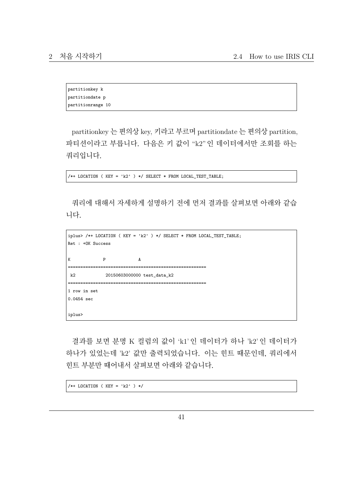partitionkey k partitiondate p partitionrange 10

partitionkey 는 편의상 key, 키라고 부르며 partitiondate 는 편의상 partition, 파티션이라고 부릅니다. 다음은 키 값이 "k2"인 데이터에서만 조회를 하는 쿼리입니다.

/\*+ LOCATION ( KEY = 'k2' ) \*/ SELECT \* FROM LOCAL\_TEST\_TABLE;

쿼리에 대해서 자세하게 설명하기 전에 먼저 결과를 살펴보면 아래와 같습 니다.

```
iplus> /*+ LOCATION ( KEY = 'k2' ) */ SELECT * FROM LOCAL_TEST_TABLE;
Ret : +OK Success
K P A
=======================================================
k2 20150603000000 test_data_k2
=======================================================
1 row in set
0.0454 sec
iplus>
```
결과를 보면 분명 K 컬럼의 값이 'k1' 인 데이터가 하나 'k2' 인 데이터가 하나가 있었는데 'k2' 값만 출력되었습니다. 이는 힌트 때문인데, 쿼리에서 힌트 부분만 때어내서 살펴보면 아래와 같습니다.

/\*+ LOCATION ( KEY = 'k2' ) \*/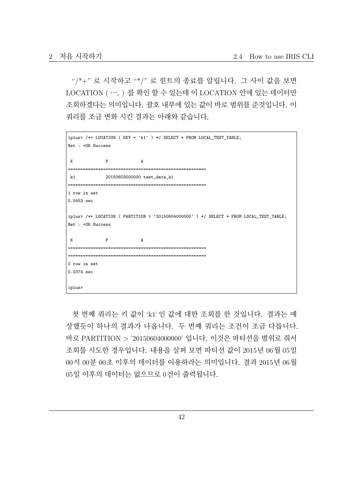"/\*+" 로 시작하고 "\*/" 로 힌트의 종료를 알립니다. 그 사이 값을 보면 LOCATION ( …. ) 를 확인 할 수 있는데 이 LOCATION 안에 있는 데이터만 조회하겠다는 의미입니다. 괄호 내부에 있는 값이 바로 범위를 준것입니다. 이 쿼리를 조금 변화 시킨 결과는 아래와 같습니다.

```
iplus> /*+ LOCATION ( KEY = 'k1' ) */ SELECT * FROM LOCAL_TEST_TABLE;
Ret : +OK Success
 K P A
=======================================================
k1 20150603000000 test_data_k1
=======================================================
1 row in set
0.0453 sec
iplus> /*+ LOCATION ( PARTITION > '20150604000000' ) */ SELECT * FROM LOCAL_TEST_TABLE;
Ret : +OK Success
 K P A
=======================================================
        =======================================================
0 row in set
0.0374 sec
iplus>
```
첫 번째 쿼리는 키 값이 'k1'인 값에 대한 조회를 한 것입니다. 결과는 예 상했듯이 하나의 결과가 나옵니다. 두 번째 쿼리는 조건이 조금 다릅니다. 바로 PARTITION > '20150604000000' 입니다. 이것은 파티션을 범위로 줘서 조회를 시도한 경우입니다. 내용을 살펴 보면 파티션 값이 2015년 06월 05일 00시 00분 00초 이후의 데이터를 이용하라는 의미입니다. 결과 2015년 06월 05일 이후의 데이터는 없으므로 0건이 출력됩니다.

42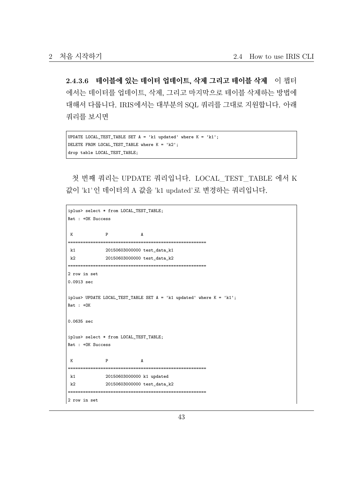**2.4.3.6 테이블에 있는 데이터 업데이트, 삭제 그리고 테이블 삭제** 이 챕터 에서는 데이터를 업데이트, 삭제, 그리고 마지막으로 테이블 삭제하는 방법에 대해서 다룹니다. IRIS에서는 대부분의 SQL 쿼리를 그대로 지원합니다. 아래 쿼리를 보시면

```
UPDATE LOCAL_TEST_TABLE SET A = 'k1 updated' where K = 'k1';DELETE FROM LOCAL_TEST_TABLE where K = 'k2';
drop table LOCAL_TEST_TABLE;
```
첫 번째 쿼리는 UPDATE 쿼리입니다. LOCAL\_TEST\_TABLE 에서 K 값이 'k1'인 데이터의 A 값을 'k1 updated'로 변경하는 쿼리입니다.

```
iplus> select * from LOCAL_TEST_TABLE;
Ret : +OK Success
 K P A
                                      =======================================================
k1 20150603000000 test_data_k1
k2 20150603000000 test_data_k2
                  =======================================================
2 row in set
0.0913 sec
iplus> UPDATE LOCAL TEST TABLE SET A = 'k1 updated' where K = 'k1';
Ret : +OK
0.0635 sec
iplus> select * from LOCAL_TEST_TABLE;
Ret : +OK Success
 K P A
=======================================================
k1 20150603000000 k1 updated
k2 20150603000000 test_data_k2
=======================================================
2 row in set
```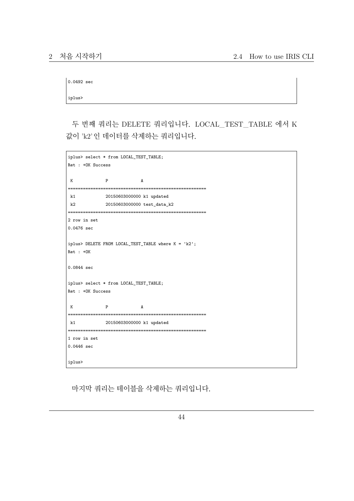| $0.0492 \text{ sec}$ |  |
|----------------------|--|
|                      |  |

iplus>

두 번째 쿼리는 DELETE 쿼리입니다. LOCAL\_TEST\_TABLE 에서 K 값이 'k2'인 데이터를 삭제하는 쿼리입니다.

```
iplus> select * from LOCAL_TEST_TABLE;
Ret : +OK Success
 K P A
=======================================================
k1 20150603000000 k1 updated
k2 20150603000000 test_data_k2
=======================================================
2 row in set
0.0476 sec
iplus> DELETE FROM LOCAL_TEST_TABLE where K = 'k2';
Ret : +OK
0.0844 sec
iplus> select * from LOCAL_TEST_TABLE;
Ret : +OK Success
 K P A
=======================================================
k1 20150603000000 k1 updated
=======================================================
1 row in set
0.0446 sec
iplus>
```
마지막 쿼리는 테이블을 삭제하는 쿼리입니다.